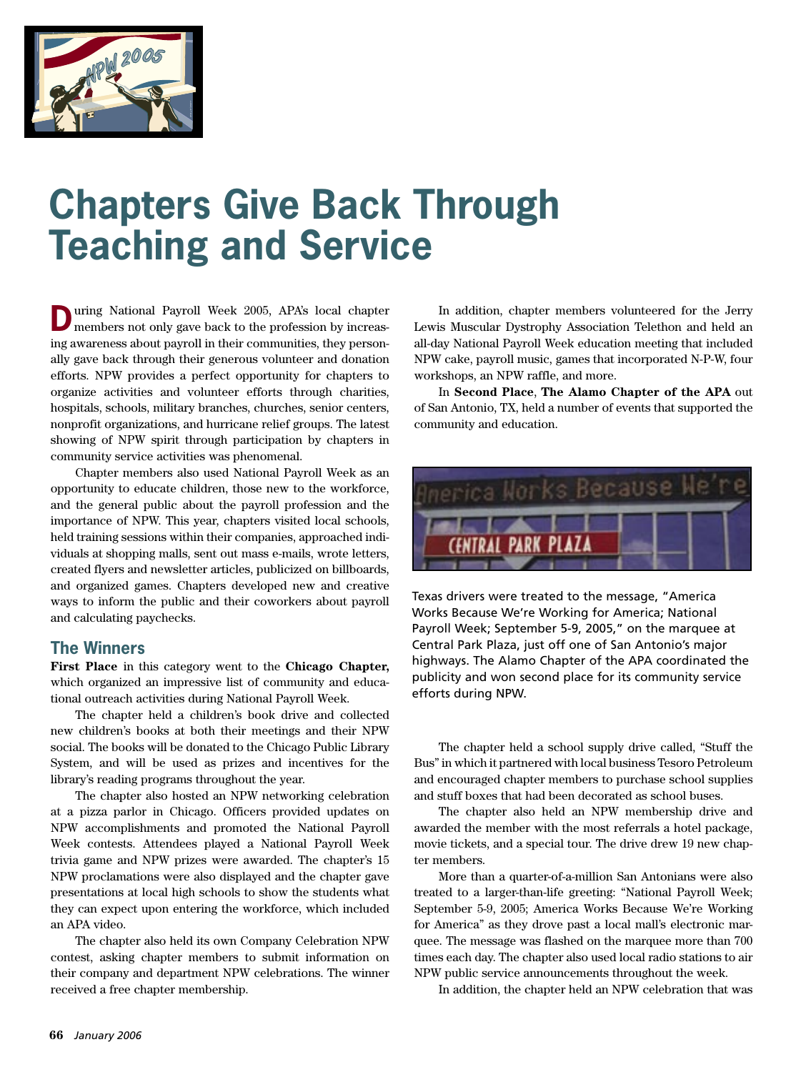

## **Chapters Give Back Through Teaching and Service**

**D**uring National Payroll Week 2005, APA's local chapter members not only gave back to the profession by increasing awareness about payroll in their communities, they personally gave back through their generous volunteer and donation efforts. NPW provides a perfect opportunity for chapters to organize activities and volunteer efforts through charities, hospitals, schools, military branches, churches, senior centers, nonprofit organizations, and hurricane relief groups. The latest showing of NPW spirit through participation by chapters in community service activities was phenomenal.

Chapter members also used National Payroll Week as an opportunity to educate children, those new to the workforce, and the general public about the payroll profession and the importance of NPW. This year, chapters visited local schools, held training sessions within their companies, approached individuals at shopping malls, sent out mass e-mails, wrote letters, created flyers and newsletter articles, publicized on billboards, and organized games. Chapters developed new and creative ways to inform the public and their coworkers about payroll and calculating paychecks.

## **The Winners**

**First Place** in this category went to the **Chicago Chapter,**  which organized an impressive list of community and educational outreach activities during National Payroll Week.

The chapter held a children's book drive and collected new children's books at both their meetings and their NPW social. The books will be donated to the Chicago Public Library System, and will be used as prizes and incentives for the library's reading programs throughout the year.

The chapter also hosted an NPW networking celebration at a pizza parlor in Chicago. Officers provided updates on NPW accomplishments and promoted the National Payroll Week contests. Attendees played a National Payroll Week trivia game and NPW prizes were awarded. The chapter's 15 NPW proclamations were also displayed and the chapter gave presentations at local high schools to show the students what they can expect upon entering the workforce, which included an APA video.

The chapter also held its own Company Celebration NPW contest, asking chapter members to submit information on their company and department NPW celebrations. The winner received a free chapter membership.

In addition, chapter members volunteered for the Jerry Lewis Muscular Dystrophy Association Telethon and held an all-day National Payroll Week education meeting that included NPW cake, payroll music, games that incorporated N-P-W, four workshops, an NPW raffle, and more.

In **Second Place**, **The Alamo Chapter of the APA** out of San Antonio, TX, held a number of events that supported the community and education.



Texas drivers were treated to the message, "America Works Because We're Working for America; National Payroll Week; September 5-9, 2005," on the marquee at Central Park Plaza, just off one of San Antonio's major highways. The Alamo Chapter of the APA coordinated the publicity and won second place for its community service efforts during NPW.

The chapter held a school supply drive called, "Stuff the Bus" in which it partnered with local business Tesoro Petroleum and encouraged chapter members to purchase school supplies and stuff boxes that had been decorated as school buses.

The chapter also held an NPW membership drive and awarded the member with the most referrals a hotel package, movie tickets, and a special tour. The drive drew 19 new chapter members.

More than a quarter-of-a-million San Antonians were also treated to a larger-than-life greeting: "National Payroll Week; September 5-9, 2005; America Works Because We're Working for America" as they drove past a local mall's electronic marquee. The message was flashed on the marquee more than 700 times each day. The chapter also used local radio stations to air NPW public service announcements throughout the week.

In addition, the chapter held an NPW celebration that was